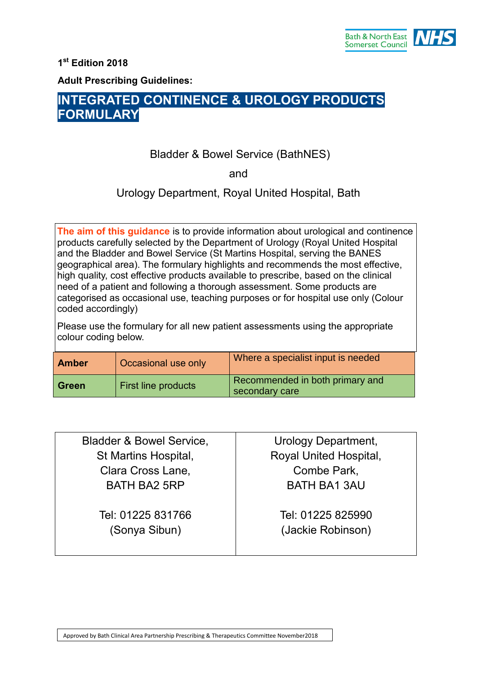

**1 st Edition 2018**

**Adult Prescribing Guidelines:**

# **INTEGRATED CONTINENCE & UROLOGY PRODUCTS FORMULARY**

# Bladder & Bowel Service (BathNES)

and

Urology Department, Royal United Hospital, Bath

**The aim of this guidance** is to provide information about urological and continence products carefully selected by the Department of Urology (Royal United Hospital and the Bladder and Bowel Service (St Martins Hospital, serving the BANES geographical area). The formulary highlights and recommends the most effective, high quality, cost effective products available to prescribe, based on the clinical need of a patient and following a thorough assessment. Some products are categorised as occasional use, teaching purposes or for hospital use only (Colour coded accordingly)

Please use the formulary for all new patient assessments using the appropriate colour coding below.

| <b>Amber</b> | Occasional use only | Where a specialist input is needed                |
|--------------|---------------------|---------------------------------------------------|
| ∣ Green      | First line products | Recommended in both primary and<br>secondary care |

| <b>Bladder &amp; Bowel Service,</b> | Urology Department,                    |
|-------------------------------------|----------------------------------------|
| St Martins Hospital,                | Royal United Hospital,                 |
| Clara Cross Lane,                   | Combe Park,                            |
| <b>BATH BA2 5RP</b>                 | <b>BATH BA1 3AU</b>                    |
| Tel: 01225 831766<br>(Sonya Sibun)  | Tel: 01225 825990<br>(Jackie Robinson) |
|                                     |                                        |

Approved by Bath Clinical Area Partnership Prescribing & Therapeutics Committee November2018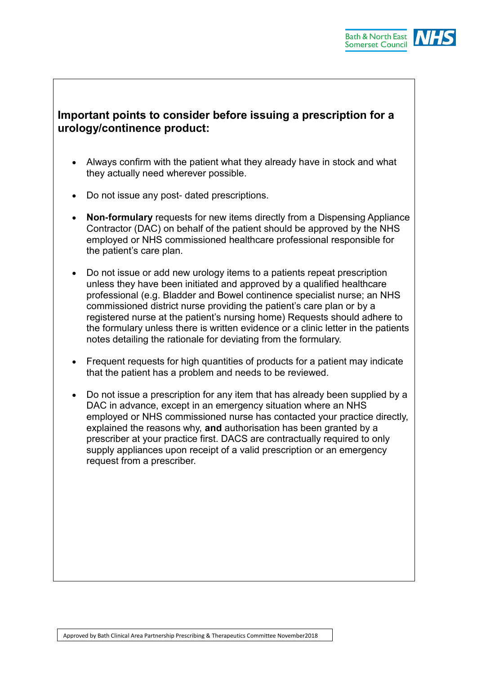

# **Important points to consider before issuing a prescription for a urology/continence product:**

- Always confirm with the patient what they already have in stock and what they actually need wherever possible.
- Do not issue any post- dated prescriptions.
- **Non-formulary** requests for new items directly from a Dispensing Appliance Contractor (DAC) on behalf of the patient should be approved by the NHS employed or NHS commissioned healthcare professional responsible for the patient's care plan.
- Do not issue or add new urology items to a patients repeat prescription unless they have been initiated and approved by a qualified healthcare professional (e.g. Bladder and Bowel continence specialist nurse; an NHS commissioned district nurse providing the patient's care plan or by a registered nurse at the patient's nursing home) Requests should adhere to the formulary unless there is written evidence or a clinic letter in the patients notes detailing the rationale for deviating from the formulary.
- Frequent requests for high quantities of products for a patient may indicate that the patient has a problem and needs to be reviewed.
- Do not issue a prescription for any item that has already been supplied by a DAC in advance, except in an emergency situation where an NHS employed or NHS commissioned nurse has contacted your practice directly, explained the reasons why, **and** authorisation has been granted by a prescriber at your practice first. DACS are contractually required to only supply appliances upon receipt of a valid prescription or an emergency request from a prescriber.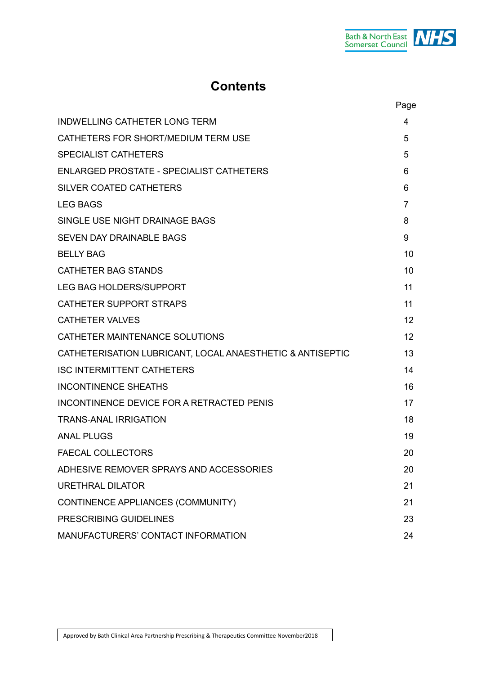

# **Contents**

|                                                           | Page           |
|-----------------------------------------------------------|----------------|
| <b>INDWELLING CATHETER LONG TERM</b>                      | 4              |
| CATHETERS FOR SHORT/MEDIUM TERM USE                       | 5              |
| <b>SPECIALIST CATHETERS</b>                               | 5              |
| <b>ENLARGED PROSTATE - SPECIALIST CATHETERS</b>           | 6              |
| SILVER COATED CATHETERS                                   | 6              |
| <b>LEG BAGS</b>                                           | $\overline{7}$ |
| SINGLE USE NIGHT DRAINAGE BAGS                            | 8              |
| <b>SEVEN DAY DRAINABLE BAGS</b>                           | 9              |
| <b>BELLY BAG</b>                                          | 10             |
| <b>CATHETER BAG STANDS</b>                                | 10             |
| <b>LEG BAG HOLDERS/SUPPORT</b>                            | 11             |
| <b>CATHETER SUPPORT STRAPS</b>                            | 11             |
| <b>CATHETER VALVES</b>                                    | 12             |
| CATHETER MAINTENANCE SOLUTIONS                            | 12             |
| CATHETERISATION LUBRICANT, LOCAL ANAESTHETIC & ANTISEPTIC | 13             |
| <b>ISC INTERMITTENT CATHETERS</b>                         | 14             |
| <b>INCONTINENCE SHEATHS</b>                               | 16             |
| INCONTINENCE DEVICE FOR A RETRACTED PENIS                 | 17             |
| <b>TRANS-ANAL IRRIGATION</b>                              | 18             |
| <b>ANAL PLUGS</b>                                         | 19             |
| <b>FAECAL COLLECTORS</b>                                  | 20             |
| ADHESIVE REMOVER SPRAYS AND ACCESSORIES                   | 20             |
| <b>URETHRAL DILATOR</b>                                   | 21             |
| CONTINENCE APPLIANCES (COMMUNITY)                         | 21             |
| PRESCRIBING GUIDELINES                                    | 23             |
| MANUFACTURERS' CONTACT INFORMATION                        | 24             |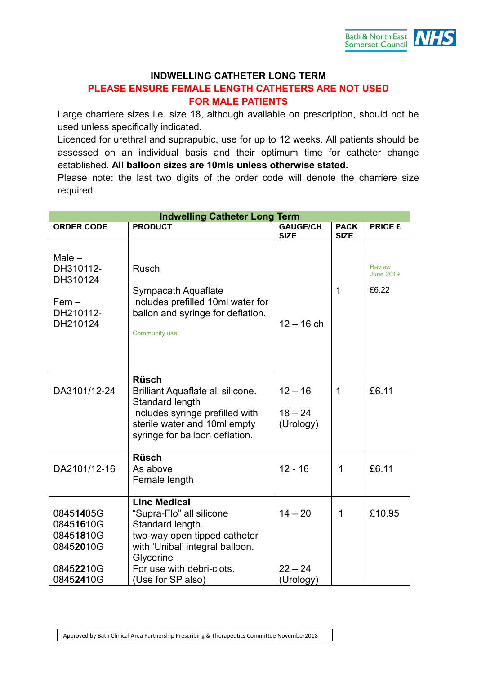

# **INDWELLING CATHETER LONG TERM**

# **PLEASE ENSURE FEMALE LENGTH CATHETERS ARE NOT USED FOR MALE PATIENTS**

Large charriere sizes i.e. size 18, although available on prescription, should not be used unless specifically indicated.

Licenced for urethral and suprapubic, use for up to 12 weeks. All patients should be assessed on an individual basis and their optimum time for catheter change established. **All balloon sizes are 10mls unless otherwise stated.**

Please note: the last two digits of the order code will denote the charriere size required.

| <b>Indwelling Catheter Long Term</b>                                       |                                                                                                                                                                                                       |                                     |                            |                                            |
|----------------------------------------------------------------------------|-------------------------------------------------------------------------------------------------------------------------------------------------------------------------------------------------------|-------------------------------------|----------------------------|--------------------------------------------|
| <b>ORDER CODE</b>                                                          | <b>PRODUCT</b>                                                                                                                                                                                        | <b>GAUGE/CH</b><br><b>SIZE</b>      | <b>PACK</b><br><b>SIZE</b> | <b>PRICE £</b>                             |
| Male $-$<br>DH310112-<br>DH310124<br>$Fem -$<br>DH210112-<br>DH210124      | <b>Rusch</b><br>Sympacath Aquaflate<br>Includes prefilled 10ml water for<br>ballon and syringe for deflation.<br>Community use                                                                        | $12 - 16$ ch                        | 1                          | <b>Review</b><br><b>June 2019</b><br>£6.22 |
| DA3101/12-24                                                               | <b>Rüsch</b><br>Brilliant Aquaflate all silicone.<br>Standard length<br>Includes syringe prefilled with<br>sterile water and 10ml empty<br>syringe for balloon deflation.                             | $12 - 16$<br>$18 - 24$<br>(Urology) | 1                          | £6.11                                      |
| DA2101/12-16                                                               | <b>Rüsch</b><br>As above<br>Female length                                                                                                                                                             | $12 - 16$                           | 1                          | £6.11                                      |
| 08451405G<br>08451610G<br>08451810G<br>08452010G<br>08452210G<br>08452410G | <b>Linc Medical</b><br>"Supra-Flo" all silicone<br>Standard length.<br>two-way open tipped catheter<br>with 'Unibal' integral balloon.<br>Glycerine<br>For use with debri-clots.<br>(Use for SP also) | $14 - 20$<br>$22 - 24$<br>(Urology) | 1                          | £10.95                                     |

Approved by Bath Clinical Area Partnership Prescribing & Therapeutics Committee November2018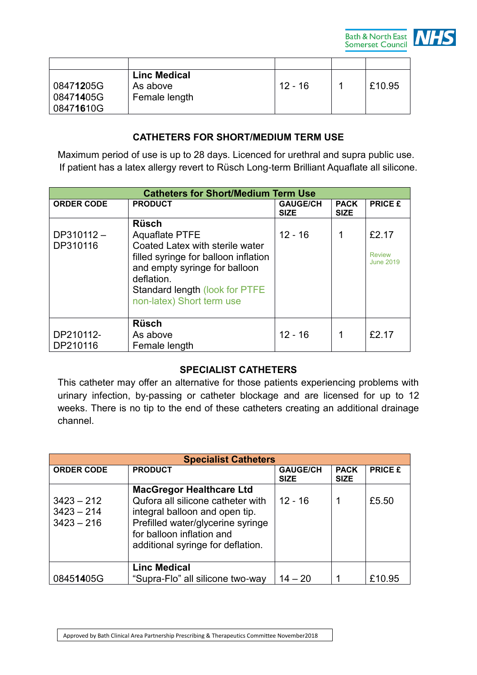

|                    | <b>Linc Medical</b> |           |        |
|--------------------|---------------------|-----------|--------|
| 0847 <b>12</b> 05G | As above            | $12 - 16$ | £10.95 |
| 0847 <b>14</b> 05G | Female length       |           |        |
| 08471610G          |                     |           |        |

# **CATHETERS FOR SHORT/MEDIUM TERM USE**

Maximum period of use is up to 28 days. Licenced for urethral and supra public use. If patient has a latex allergy revert to Rüsch Long-term Brilliant Aquaflate all silicone.

|                       | <b>Catheters for Short/Medium Term Use</b>                                                                                                                                            |                                |                            |                            |
|-----------------------|---------------------------------------------------------------------------------------------------------------------------------------------------------------------------------------|--------------------------------|----------------------------|----------------------------|
| <b>ORDER CODE</b>     | <b>PRODUCT</b>                                                                                                                                                                        | <b>GAUGE/CH</b><br><b>SIZE</b> | <b>PACK</b><br><b>SIZE</b> | <b>PRICE £</b>             |
| $DP310112 -$          | <b>Rüsch</b><br><b>Aquaflate PTFE</b>                                                                                                                                                 | $12 - 16$                      |                            | £2.17                      |
| DP310116              | Coated Latex with sterile water<br>filled syringe for balloon inflation<br>and empty syringe for balloon<br>deflation.<br>Standard length (look for PTFE<br>non-latex) Short term use |                                |                            | <b>Review</b><br>June 2019 |
| DP210112-<br>DP210116 | <b>Rüsch</b><br>As above<br>Female length                                                                                                                                             | $12 - 16$                      |                            | £2.17                      |

### **SPECIALIST CATHETERS**

This catheter may offer an alternative for those patients experiencing problems with urinary infection, by-passing or catheter blockage and are licensed for up to 12 weeks. There is no tip to the end of these catheters creating an additional drainage channel.

| <b>Specialist Catheters</b>                  |                                                                                                                                                                                                               |                                |                            |                |
|----------------------------------------------|---------------------------------------------------------------------------------------------------------------------------------------------------------------------------------------------------------------|--------------------------------|----------------------------|----------------|
| <b>ORDER CODE</b>                            | <b>PRODUCT</b>                                                                                                                                                                                                | <b>GAUGE/CH</b><br><b>SIZE</b> | <b>PACK</b><br><b>SIZE</b> | <b>PRICE £</b> |
| $3423 - 212$<br>$3423 - 214$<br>$3423 - 216$ | <b>MacGregor Healthcare Ltd</b><br>Qufora all silicone catheter with<br>integral balloon and open tip.<br>Prefilled water/glycerine syringe<br>for balloon inflation and<br>additional syringe for deflation. | $12 - 16$                      |                            | £5.50          |
| 08451405G                                    | <b>Linc Medical</b><br>"Supra-Flo" all silicone two-way                                                                                                                                                       | $14 - 20$                      |                            | £10.95         |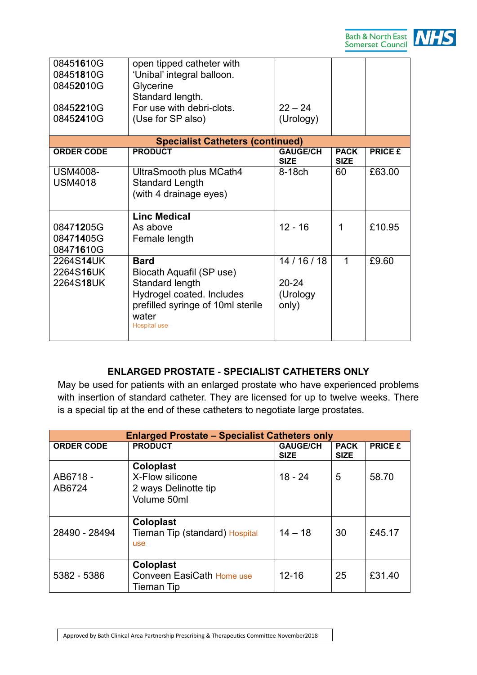

| 08451610G<br>08451810G<br>08452010G<br>08452210G<br>08452410G | open tipped catheter with<br>'Unibal' integral balloon.<br>Glycerine<br>Standard length.<br>For use with debri-clots.<br>(Use for SP also)                   | $22 - 24$<br>(Urology)                     |                            |                |
|---------------------------------------------------------------|--------------------------------------------------------------------------------------------------------------------------------------------------------------|--------------------------------------------|----------------------------|----------------|
|                                                               |                                                                                                                                                              |                                            |                            |                |
|                                                               | <b>Specialist Catheters (continued)</b>                                                                                                                      |                                            |                            |                |
| <b>ORDER CODE</b>                                             | <b>PRODUCT</b>                                                                                                                                               | <b>GAUGE/CH</b><br><b>SIZE</b>             | <b>PACK</b><br><b>SIZE</b> | <b>PRICE £</b> |
| <b>USM4008-</b><br><b>USM4018</b>                             | UltraSmooth plus MCath4<br><b>Standard Length</b><br>(with 4 drainage eyes)                                                                                  | 8-18ch                                     | 60                         | £63.00         |
| 08471205G<br>08471405G<br>08471610G                           | <b>Linc Medical</b><br>As above<br>Female length                                                                                                             | $12 - 16$                                  | 1                          | £10.95         |
| 2264S14UK<br>2264S16UK<br>2264S18UK                           | <b>Bard</b><br>Biocath Aquafil (SP use)<br>Standard length<br>Hydrogel coated. Includes<br>prefilled syringe of 10ml sterile<br>water<br><b>Hospital use</b> | 14/16/18<br>$20 - 24$<br>(Urology<br>only) | 1                          | £9.60          |

# **ENLARGED PROSTATE - SPECIALIST CATHETERS ONLY**

May be used for patients with an enlarged prostate who have experienced problems with insertion of standard catheter. They are licensed for up to twelve weeks. There is a special tip at the end of these catheters to negotiate large prostates.

|                    | <b>Enlarged Prostate - Specialist Catheters only</b>                |                                |                            |                |
|--------------------|---------------------------------------------------------------------|--------------------------------|----------------------------|----------------|
| <b>ORDER CODE</b>  | <b>PRODUCT</b>                                                      | <b>GAUGE/CH</b><br><b>SIZE</b> | <b>PACK</b><br><b>SIZE</b> | <b>PRICE £</b> |
| AB6718 -<br>AB6724 | Coloplast<br>X-Flow silicone<br>2 ways Delinotte tip<br>Volume 50ml | $18 - 24$                      | 5                          | 58.70          |
| 28490 - 28494      | Coloplast<br>Tieman Tip (standard) Hospital<br><b>use</b>           | $14 - 18$                      | 30                         | £45.17         |
| 5382 - 5386        | Coloplast<br>Conveen EasiCath Home use<br>Tieman Tip                | $12 - 16$                      | 25                         | £31.40         |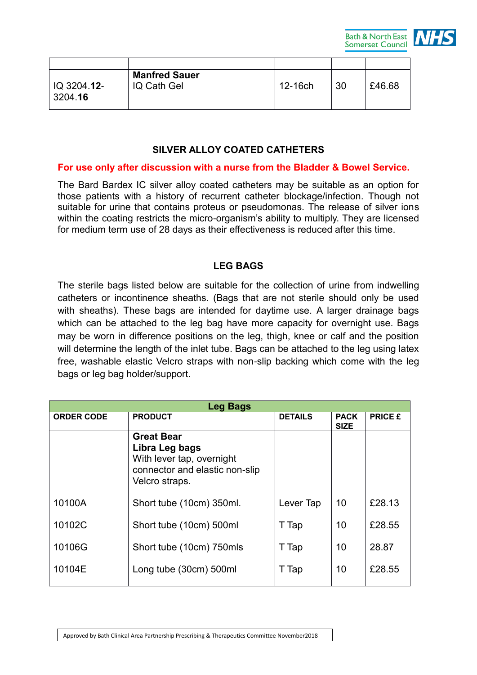

| IQ 3204.12-<br>3204.16 | <b>Manfred Sauer</b><br>IQ Cath Gel | 12-16ch | 30 | £46.68 |
|------------------------|-------------------------------------|---------|----|--------|

### **SILVER ALLOY COATED CATHETERS**

#### **For use only after discussion with a nurse from the Bladder & Bowel Service.**

The Bard Bardex IC silver alloy coated catheters may be suitable as an option for those patients with a history of recurrent catheter blockage/infection. Though not suitable for urine that contains proteus or pseudomonas. The release of silver ions within the coating restricts the micro-organism's ability to multiply. They are licensed for medium term use of 28 days as their effectiveness is reduced after this time.

#### **LEG BAGS**

The sterile bags listed below are suitable for the collection of urine from indwelling catheters or incontinence sheaths. (Bags that are not sterile should only be used with sheaths). These bags are intended for daytime use. A larger drainage bags which can be attached to the leg bag have more capacity for overnight use. Bags may be worn in difference positions on the leg, thigh, knee or calf and the position will determine the length of the inlet tube. Bags can be attached to the leg using latex free, washable elastic Velcro straps with non-slip backing which come with the leg bags or leg bag holder/support.

| <b>Leg Bags</b>   |                                                                                                                      |                |                            |                |
|-------------------|----------------------------------------------------------------------------------------------------------------------|----------------|----------------------------|----------------|
| <b>ORDER CODE</b> | <b>PRODUCT</b>                                                                                                       | <b>DETAILS</b> | <b>PACK</b><br><b>SIZE</b> | <b>PRICE £</b> |
|                   | <b>Great Bear</b><br>Libra Leg bags<br>With lever tap, overnight<br>connector and elastic non-slip<br>Velcro straps. |                |                            |                |
| 10100A            | Short tube (10cm) 350ml.                                                                                             | Lever Tap      | 10                         | £28.13         |
| 10102C            | Short tube (10cm) 500ml                                                                                              | T Tap          | 10                         | £28.55         |
| 10106G            | Short tube (10cm) 750mls                                                                                             | T Tap          | 10                         | 28.87          |
| 10104E            | Long tube (30cm) 500ml                                                                                               | T Tap          | 10                         | £28.55         |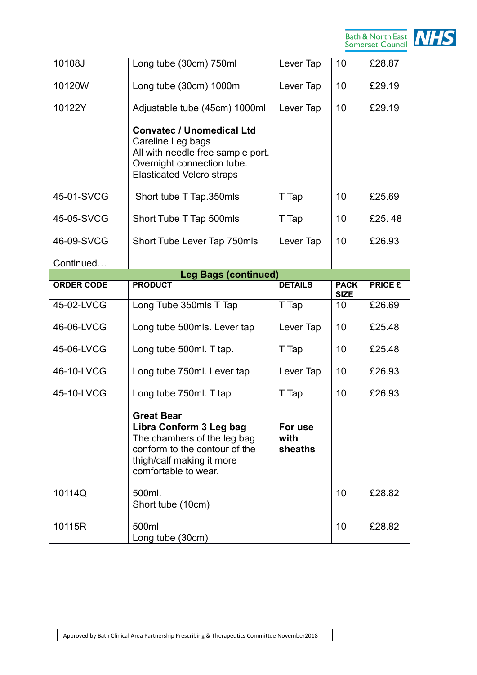

| 10108J            | Long tube (30cm) 750ml                                                                                                                                            | Lever Tap                  | 10                         | £28.87         |
|-------------------|-------------------------------------------------------------------------------------------------------------------------------------------------------------------|----------------------------|----------------------------|----------------|
| 10120W            | Long tube (30cm) 1000ml                                                                                                                                           | Lever Tap                  | 10                         | £29.19         |
| 10122Y            | Adjustable tube (45cm) 1000ml                                                                                                                                     | Lever Tap                  | 10                         | £29.19         |
|                   | <b>Convatec / Unomedical Ltd</b><br>Careline Leg bags<br>All with needle free sample port.<br>Overnight connection tube.<br><b>Elasticated Velcro straps</b>      |                            |                            |                |
| 45-01-SVCG        | Short tube T Tap.350mls                                                                                                                                           | T Tap                      | 10                         | £25.69         |
| 45-05-SVCG        | Short Tube T Tap 500mls                                                                                                                                           | T Tap                      | 10                         | £25.48         |
| 46-09-SVCG        | Short Tube Lever Tap 750mls                                                                                                                                       | Lever Tap                  | 10                         | £26.93         |
| Continued         |                                                                                                                                                                   |                            |                            |                |
|                   | <b>Leg Bags (continued)</b>                                                                                                                                       |                            |                            |                |
| <b>ORDER CODE</b> | <b>PRODUCT</b>                                                                                                                                                    | <b>DETAILS</b>             | <b>PACK</b><br><b>SIZE</b> | <b>PRICE £</b> |
| 45-02-LVCG        | Long Tube 350mls T Tap                                                                                                                                            | T Tap                      | 10                         | £26.69         |
| 46-06-LVCG        | Long tube 500mls. Lever tap                                                                                                                                       | Lever Tap                  | 10                         | £25.48         |
| 45-06-LVCG        | Long tube 500ml. T tap.                                                                                                                                           | T Tap                      | 10                         | £25.48         |
| 46-10-LVCG        | Long tube 750ml. Lever tap                                                                                                                                        | Lever Tap                  | 10                         | £26.93         |
| 45-10-LVCG        | Long tube 750ml. T tap                                                                                                                                            | T Tap                      | 10                         | £26.93         |
|                   | <b>Great Bear</b><br>Libra Conform 3 Leg bag<br>The chambers of the leg bag<br>conform to the contour of the<br>thigh/calf making it more<br>comfortable to wear. | For use<br>with<br>sheaths |                            |                |
| 10114Q            | 500ml.<br>Short tube (10cm)                                                                                                                                       |                            | 10                         | £28.82         |
|                   |                                                                                                                                                                   |                            |                            |                |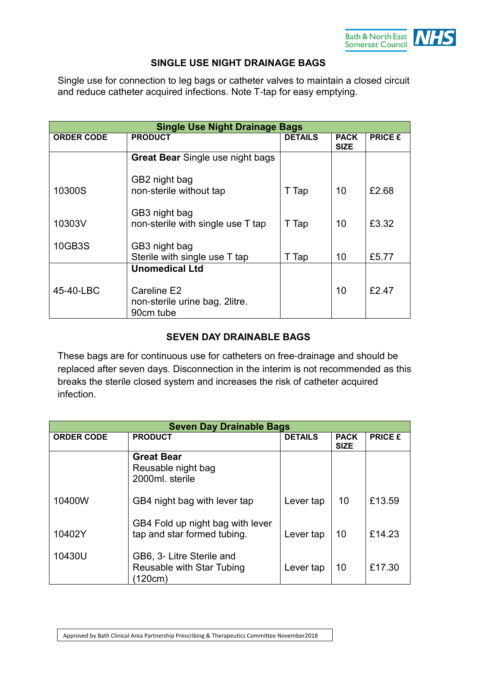

### **SINGLE USE NIGHT DRAINAGE BAGS**

Single use for connection to leg bags or catheter valves to maintain a closed circuit and reduce catheter acquired infections. Note T-tap for easy emptying.

|                   | <b>Single Use Night Drainage Bags</b>                       |                |                            |                |
|-------------------|-------------------------------------------------------------|----------------|----------------------------|----------------|
| <b>ORDER CODE</b> | <b>PRODUCT</b>                                              | <b>DETAILS</b> | <b>PACK</b><br><b>SIZE</b> | <b>PRICE £</b> |
|                   | <b>Great Bear</b> Single use night bags                     |                |                            |                |
| 10300S            | GB2 night bag<br>non-sterile without tap                    | T Tap          | 10                         | £2.68          |
| 10303V            | GB3 night bag<br>non-sterile with single use T tap          | T Tap          | 10                         | £3.32          |
| 10GB3S            | GB3 night bag<br>Sterile with single use T tap              | T Tap          | 10                         | £5.77          |
|                   | <b>Unomedical Ltd</b>                                       |                |                            |                |
| 45-40-LBC         | Careline E2<br>non-sterile urine bag. 2 litre.<br>90cm tube |                | 10                         | £2.47          |

#### **SEVEN DAY DRAINABLE BAGS**

These bags are for continuous use for catheters on free-drainage and should be replaced after seven days. Disconnection in the interim is not recommended as this breaks the sterile closed system and increases the risk of catheter acquired infection.

|                   | <b>Seven Day Drainable Bags</b>                                   |                |                            |                |  |
|-------------------|-------------------------------------------------------------------|----------------|----------------------------|----------------|--|
| <b>ORDER CODE</b> | <b>PRODUCT</b>                                                    | <b>DETAILS</b> | <b>PACK</b><br><b>SIZE</b> | <b>PRICE £</b> |  |
|                   | <b>Great Bear</b><br>Reusable night bag<br>2000ml. sterile        |                |                            |                |  |
| 10400W            | GB4 night bag with lever tap                                      | Lever tap      | 10                         | £13.59         |  |
| 10402Y            | GB4 Fold up night bag with lever<br>tap and star formed tubing.   | Lever tap      | 10                         | £14.23         |  |
| 10430U            | GB6, 3- Litre Sterile and<br>Reusable with Star Tubing<br>(120cm) | Lever tap      | 10                         | £17.30         |  |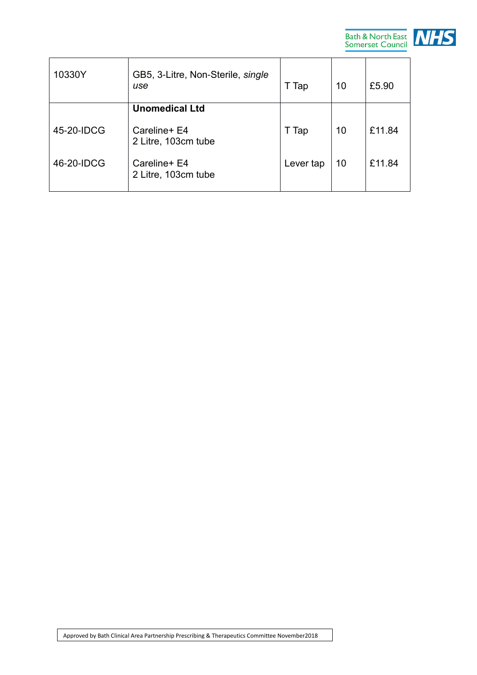

| 10330Y     | GB5, 3-Litre, Non-Sterile, single<br>use | T Tap     | 10 | £5.90  |
|------------|------------------------------------------|-----------|----|--------|
|            | <b>Unomedical Ltd</b>                    |           |    |        |
| 45-20-IDCG | Careline+ E4<br>2 Litre, 103cm tube      | T Tap     | 10 | £11.84 |
| 46-20-IDCG | Careline+ E4<br>2 Litre, 103cm tube      | Lever tap | 10 | £11.84 |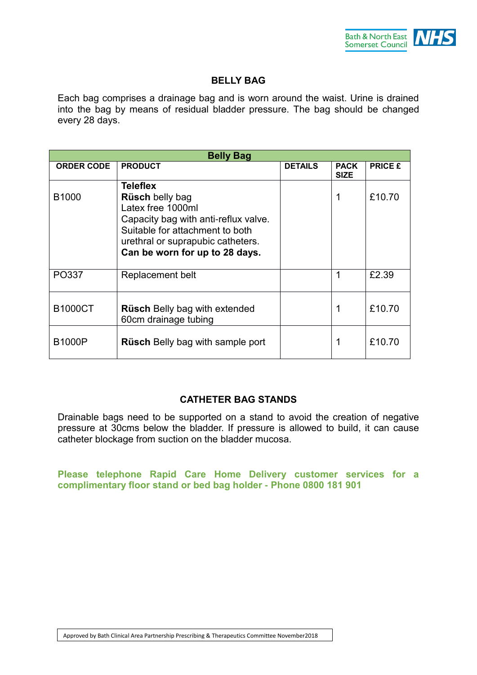

# **BELLY BAG**

Each bag comprises a drainage bag and is worn around the waist. Urine is drained into the bag by means of residual bladder pressure. The bag should be changed every 28 days.

| <b>Belly Bag</b>  |                                                                                                                                                                                                                  |                |                            |                |  |
|-------------------|------------------------------------------------------------------------------------------------------------------------------------------------------------------------------------------------------------------|----------------|----------------------------|----------------|--|
| <b>ORDER CODE</b> | <b>PRODUCT</b>                                                                                                                                                                                                   | <b>DETAILS</b> | <b>PACK</b><br><b>SIZE</b> | <b>PRICE £</b> |  |
| B1000             | <b>Teleflex</b><br><b>Rüsch belly bag</b><br>Latex free 1000ml<br>Capacity bag with anti-reflux valve.<br>Suitable for attachment to both<br>urethral or suprapubic catheters.<br>Can be worn for up to 28 days. |                |                            | £10.70         |  |
| PO337             | Replacement belt                                                                                                                                                                                                 |                | 1                          | £2.39          |  |
| <b>B1000CT</b>    | <b>Rüsch Belly bag with extended</b><br>60cm drainage tubing                                                                                                                                                     |                |                            | £10.70         |  |
| <b>B1000P</b>     | <b>Rüsch</b> Belly bag with sample port                                                                                                                                                                          |                |                            | £10.70         |  |

#### **CATHETER BAG STANDS**

Drainable bags need to be supported on a stand to avoid the creation of negative pressure at 30cms below the bladder. If pressure is allowed to build, it can cause catheter blockage from suction on the bladder mucosa.

**Please telephone Rapid Care Home Delivery customer services for a complimentary floor stand or bed bag holder - Phone 0800 181 901**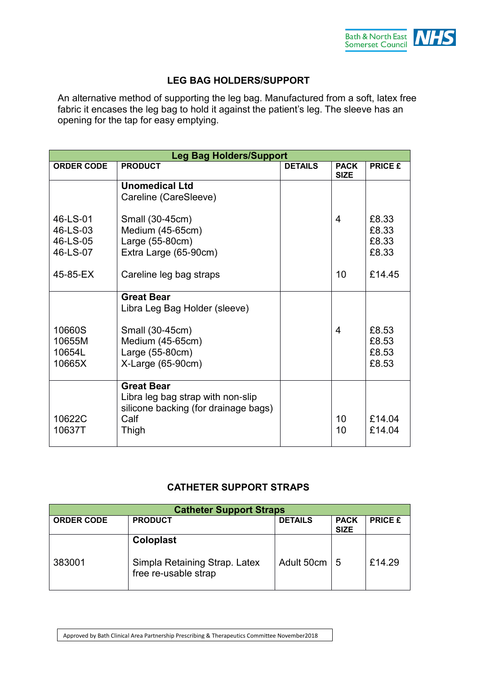

# **LEG BAG HOLDERS/SUPPORT**

An alternative method of supporting the leg bag. Manufactured from a soft, latex free fabric it encases the leg bag to hold it against the patient's leg. The sleeve has an opening for the tap for easy emptying.

| <b>Leg Bag Holders/Support</b>               |                                                                                                                                    |                |                            |                                  |
|----------------------------------------------|------------------------------------------------------------------------------------------------------------------------------------|----------------|----------------------------|----------------------------------|
| <b>ORDER CODE</b>                            | <b>PRODUCT</b>                                                                                                                     | <b>DETAILS</b> | <b>PACK</b><br><b>SIZE</b> | <b>PRICE £</b>                   |
|                                              | <b>Unomedical Ltd</b><br>Careline (CareSleeve)                                                                                     |                |                            |                                  |
| 46-LS-01<br>46-LS-03<br>46-LS-05<br>46-LS-07 | Small (30-45cm)<br>Medium (45-65cm)<br>Large (55-80cm)<br>Extra Large (65-90cm)                                                    |                | $\overline{4}$             | £8.33<br>£8.33<br>£8.33<br>£8.33 |
| 45-85-EX                                     | Careline leg bag straps                                                                                                            |                | 10                         | £14.45                           |
| 10660S<br>10655M<br>10654L<br>10665X         | <b>Great Bear</b><br>Libra Leg Bag Holder (sleeve)<br>Small (30-45cm)<br>Medium (45-65cm)<br>Large (55-80cm)<br>$X-Large(65-90cm)$ |                | 4                          | £8.53<br>£8.53<br>£8.53<br>£8.53 |
| 10622C<br>10637T                             | <b>Great Bear</b><br>Libra leg bag strap with non-slip<br>silicone backing (for drainage bags)<br>Calf<br>Thigh                    |                | 10<br>10                   | £14.04<br>£14.04                 |

#### **CATHETER SUPPORT STRAPS**

| <b>Catheter Support Straps</b> |                                                                           |                |                            |                |  |
|--------------------------------|---------------------------------------------------------------------------|----------------|----------------------------|----------------|--|
| <b>ORDER CODE</b>              | <b>PRODUCT</b>                                                            | <b>DETAILS</b> | <b>PACK</b><br><b>SIZE</b> | <b>PRICE £</b> |  |
| 383001                         | <b>Coloplast</b><br>Simpla Retaining Strap. Latex<br>free re-usable strap | Adult 50cm     | 5                          | £14.29         |  |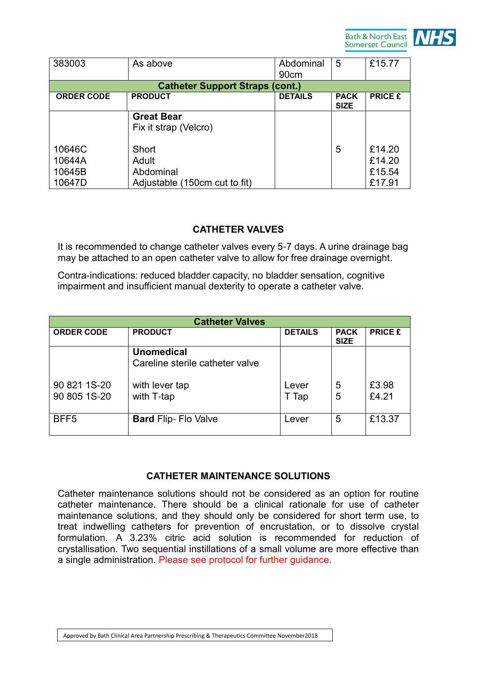

| 383003                               | As above                                                     | Abdominal<br>90cm | 5                          | £15.77                               |
|--------------------------------------|--------------------------------------------------------------|-------------------|----------------------------|--------------------------------------|
|                                      | <b>Catheter Support Straps (cont.)</b>                       |                   |                            |                                      |
| <b>ORDER CODE</b>                    | <b>PRODUCT</b>                                               | <b>DETAILS</b>    | <b>PACK</b><br><b>SIZE</b> | <b>PRICE £</b>                       |
|                                      | <b>Great Bear</b><br>Fix it strap (Velcro)                   |                   |                            |                                      |
| 10646C<br>10644A<br>10645B<br>10647D | Short<br>Adult<br>Abdominal<br>Adjustable (150cm cut to fit) |                   | 5                          | £14.20<br>£14.20<br>£15.54<br>£17.91 |

#### **CATHETER VALVES**

It is recommended to change catheter valves every 5-7 days. A urine drainage bag may be attached to an open catheter valve to allow for free drainage overnight.

Contra-indications: reduced bladder capacity, no bladder sensation, cognitive impairment and insufficient manual dexterity to operate a catheter valve.

|                   | <b>Catheter Valves</b>          |                |                            |                |
|-------------------|---------------------------------|----------------|----------------------------|----------------|
| <b>ORDER CODE</b> | <b>PRODUCT</b>                  | <b>DETAILS</b> | <b>PACK</b><br><b>SIZE</b> | <b>PRICE £</b> |
|                   | <b>Unomedical</b>               |                |                            |                |
|                   | Careline sterile catheter valve |                |                            |                |
| 90 821 1S-20      | with lever tap                  | Lever          | 5                          | £3.98          |
| 90 805 1S-20      | with T-tap                      | Tap            | 5                          | £4.21          |
| BFF <sub>5</sub>  | <b>Bard Flip- Flo Valve</b>     | Lever          | 5                          | £13.37         |

#### **CATHETER MAINTENANCE SOLUTIONS**

Catheter maintenance solutions should not be considered as an option for routine catheter maintenance. There should be a clinical rationale for use of catheter maintenance solutions, and they should only be considered for short term use, to treat indwelling catheters for prevention of encrustation, or to dissolve crystal formulation. A 3.23% citric acid solution is recommended for reduction of crystallisation. Two sequential instillations of a small volume are more effective than a single administration. Please see protocol for further guidance.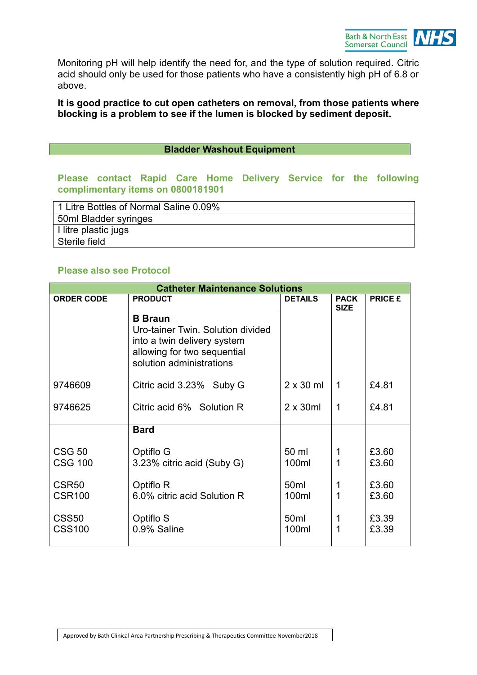

Monitoring pH will help identify the need for, and the type of solution required. Citric acid should only be used for those patients who have a consistently high pH of 6.8 or above.

#### **It is good practice to cut open catheters on removal, from those patients where blocking is a problem to see if the lumen is blocked by sediment deposit.**

#### **Bladder Washout Equipment**

#### **Please contact Rapid Care Home Delivery Service for the following complimentary items on 0800181901**

| 1 Litre Bottles of Normal Saline 0.09% |
|----------------------------------------|
| 50ml Bladder syringes                  |
| I litre plastic jugs                   |
| Sterile field                          |

#### **Please also see Protocol**

| <b>Catheter Maintenance Solutions</b> |                                                                                                                                               |                  |                            |                |
|---------------------------------------|-----------------------------------------------------------------------------------------------------------------------------------------------|------------------|----------------------------|----------------|
| <b>ORDER CODE</b>                     | <b>PRODUCT</b>                                                                                                                                | <b>DETAILS</b>   | <b>PACK</b><br><b>SIZE</b> | <b>PRICE £</b> |
|                                       | <b>B</b> Braun<br>Uro-tainer Twin. Solution divided<br>into a twin delivery system<br>allowing for two sequential<br>solution administrations |                  |                            |                |
| 9746609                               | Citric acid 3.23% Suby G                                                                                                                      | $2 \times 30$ ml | 1                          | £4.81          |
| 9746625                               | Citric acid 6% Solution R                                                                                                                     | $2 \times 30$ ml | $\mathbf 1$                | £4.81          |
|                                       | <b>Bard</b>                                                                                                                                   |                  |                            |                |
| <b>CSG 50</b>                         | Optiflo G                                                                                                                                     | 50 ml            | 1                          | £3.60          |
| <b>CSG 100</b>                        | 3.23% citric acid (Suby G)                                                                                                                    | 100ml            |                            | £3.60          |
| CSR <sub>50</sub>                     | Optiflo R                                                                                                                                     | 50 <sub>ml</sub> | 1                          | £3.60          |
| <b>CSR100</b>                         | 6.0% citric acid Solution R                                                                                                                   | 100ml            | 1                          | £3.60          |
| CSS <sub>50</sub>                     | Optiflo S                                                                                                                                     | 50 <sub>ml</sub> | 1                          | £3.39          |
| <b>CSS100</b>                         | 0.9% Saline                                                                                                                                   | 100ml            |                            | £3.39          |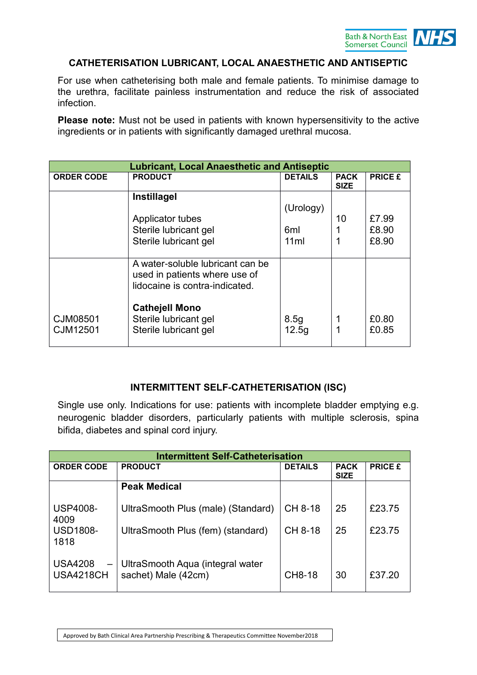

#### **CATHETERISATION LUBRICANT, LOCAL ANAESTHETIC AND ANTISEPTIC**

For use when catheterising both male and female patients. To minimise damage to the urethra, facilitate painless instrumentation and reduce the risk of associated infection.

**Please note:** Must not be used in patients with known hypersensitivity to the active ingredients or in patients with significantly damaged urethral mucosa.

|                      | <b>Lubricant, Local Anaesthetic and Antiseptic</b>                                                  |                |                            |                |  |
|----------------------|-----------------------------------------------------------------------------------------------------|----------------|----------------------------|----------------|--|
| <b>ORDER CODE</b>    | <b>PRODUCT</b>                                                                                      | <b>DETAILS</b> | <b>PACK</b><br><b>SIZE</b> | <b>PRICE £</b> |  |
|                      | Instillagel                                                                                         |                |                            |                |  |
|                      |                                                                                                     | (Urology)      |                            |                |  |
|                      | Applicator tubes                                                                                    |                | 10                         | £7.99          |  |
|                      | Sterile lubricant gel                                                                               | 6ml            |                            | £8.90          |  |
|                      | Sterile lubricant gel                                                                               | 11ml           |                            | £8.90          |  |
|                      |                                                                                                     |                |                            |                |  |
|                      | A water-soluble lubricant can be<br>used in patients where use of<br>lidocaine is contra-indicated. |                |                            |                |  |
| CJM08501<br>CJM12501 | <b>Cathejell Mono</b><br>Sterile lubricant gel<br>Sterile lubricant gel                             | 8.5g<br>12.5g  |                            | £0.80<br>£0.85 |  |

#### **INTERMITTENT SELF-CATHETERISATION (ISC)**

Single use only. Indications for use: patients with incomplete bladder emptying e.g. neurogenic bladder disorders, particularly patients with multiple sclerosis, spina bifida, diabetes and spinal cord injury.

|                                                         | <b>Intermittent Self-Catheterisation</b>                |                |                            |                |  |
|---------------------------------------------------------|---------------------------------------------------------|----------------|----------------------------|----------------|--|
| <b>ORDER CODE</b>                                       | <b>PRODUCT</b>                                          | <b>DETAILS</b> | <b>PACK</b><br><b>SIZE</b> | <b>PRICE £</b> |  |
|                                                         | <b>Peak Medical</b>                                     |                |                            |                |  |
| <b>USP4008-</b><br>4009                                 | UltraSmooth Plus (male) (Standard)                      | CH 8-18        | 25                         | £23.75         |  |
| <b>USD1808-</b><br>1818                                 | UltraSmooth Plus (fem) (standard)                       | CH 8-18        | 25                         | £23.75         |  |
| <b>USA4208</b><br>$\qquad \qquad -$<br><b>USA4218CH</b> | UltraSmooth Aqua (integral water<br>sachet) Male (42cm) | <b>CH8-18</b>  | 30                         | £37.20         |  |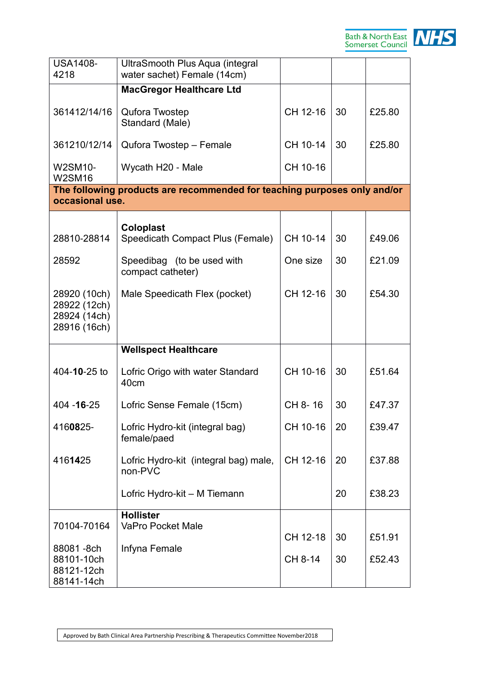

| <b>USA1408-</b><br>4218                                      | UltraSmooth Plus Aqua (integral<br>water sachet) Female (14cm)           |          |    |        |
|--------------------------------------------------------------|--------------------------------------------------------------------------|----------|----|--------|
|                                                              | <b>MacGregor Healthcare Ltd</b>                                          |          |    |        |
| 361412/14/16                                                 | Qufora Twostep<br>Standard (Male)                                        | CH 12-16 | 30 | £25.80 |
| 361210/12/14                                                 | Qufora Twostep - Female                                                  | CH 10-14 | 30 | £25.80 |
| W2SM10-<br><b>W2SM16</b>                                     | Wycath H20 - Male                                                        | CH 10-16 |    |        |
| occasional use.                                              | The following products are recommended for teaching purposes only and/or |          |    |        |
|                                                              |                                                                          |          |    |        |
| 28810-28814                                                  | <b>Coloplast</b><br>Speedicath Compact Plus (Female)                     | CH 10-14 | 30 | £49.06 |
| 28592                                                        | Speedibag (to be used with<br>compact catheter)                          | One size | 30 | £21.09 |
| 28920 (10ch)<br>28922 (12ch)<br>28924 (14ch)<br>28916 (16ch) | Male Speedicath Flex (pocket)                                            | CH 12-16 | 30 | £54.30 |
|                                                              | <b>Wellspect Healthcare</b>                                              |          |    |        |
| 404-10-25 to                                                 | Lofric Origo with water Standard<br>40cm                                 | CH 10-16 | 30 | £51.64 |
| 404 - 16 - 25                                                | Lofric Sense Female (15cm)                                               | CH 8-16  | 30 | £47.37 |
| 4160825-                                                     | Lofric Hydro-kit (integral bag)<br>female/paed                           | CH 10-16 | 20 | £39.47 |
| 4161425                                                      | Lofric Hydro-kit (integral bag) male,<br>non-PVC                         | CH 12-16 | 20 | £37.88 |
|                                                              | Lofric Hydro-kit - M Tiemann                                             |          | 20 | £38.23 |
| 70104-70164                                                  | <b>Hollister</b><br><b>VaPro Pocket Male</b>                             |          |    |        |
|                                                              |                                                                          | CH 12-18 | 30 | £51.91 |
| 88081-8ch<br>88101-10ch<br>88121-12ch<br>88141-14ch          | Infyna Female                                                            | CH 8-14  | 30 | £52.43 |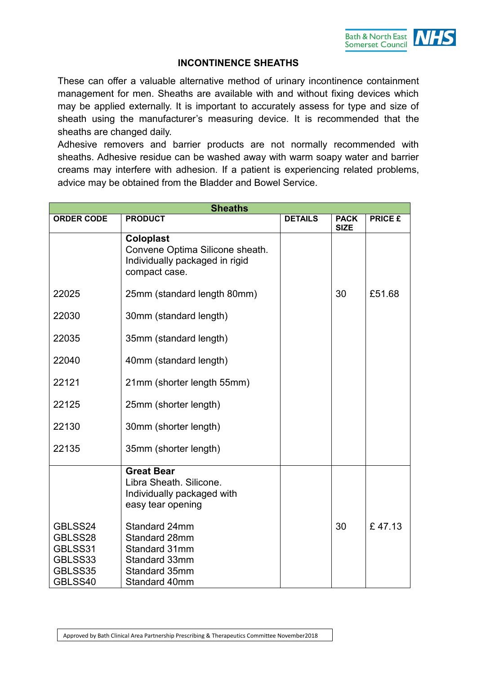# **INCONTINENCE SHEATHS**

These can offer a valuable alternative method of urinary incontinence containment management for men. Sheaths are available with and without fixing devices which may be applied externally. It is important to accurately assess for type and size of sheath using the manufacturer's measuring device. It is recommended that the sheaths are changed daily.

Adhesive removers and barrier products are not normally recommended with sheaths. Adhesive residue can be washed away with warm soapy water and barrier creams may interfere with adhesion. If a patient is experiencing related problems, advice may be obtained from the Bladder and Bowel Service.

| <b>Sheaths</b>                                                 |                                                                                                        |                |                            |                |
|----------------------------------------------------------------|--------------------------------------------------------------------------------------------------------|----------------|----------------------------|----------------|
| <b>ORDER CODE</b>                                              | <b>PRODUCT</b>                                                                                         | <b>DETAILS</b> | <b>PACK</b><br><b>SIZE</b> | <b>PRICE £</b> |
|                                                                | <b>Coloplast</b><br>Convene Optima Silicone sheath.<br>Individually packaged in rigid<br>compact case. |                |                            |                |
| 22025                                                          | 25mm (standard length 80mm)                                                                            |                | 30                         | £51.68         |
| 22030                                                          | 30mm (standard length)                                                                                 |                |                            |                |
| 22035                                                          | 35mm (standard length)                                                                                 |                |                            |                |
| 22040                                                          | 40mm (standard length)                                                                                 |                |                            |                |
| 22121                                                          | 21mm (shorter length 55mm)                                                                             |                |                            |                |
| 22125                                                          | 25mm (shorter length)                                                                                  |                |                            |                |
| 22130                                                          | 30mm (shorter length)                                                                                  |                |                            |                |
| 22135                                                          | 35mm (shorter length)                                                                                  |                |                            |                |
|                                                                | <b>Great Bear</b><br>Libra Sheath, Silicone.<br>Individually packaged with<br>easy tear opening        |                |                            |                |
| GBLSS24<br>GBLSS28<br>GBLSS31<br>GBLSS33<br>GBLSS35<br>GBLSS40 | Standard 24mm<br>Standard 28mm<br>Standard 31mm<br>Standard 33mm<br>Standard 35mm<br>Standard 40mm     |                | 30                         | £47.13         |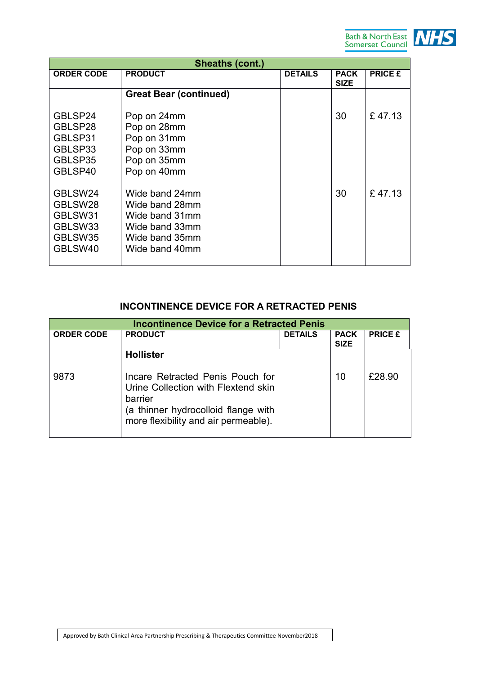

|                                                                | <b>Sheaths (cont.)</b>                                                                                   |                |                            |                |
|----------------------------------------------------------------|----------------------------------------------------------------------------------------------------------|----------------|----------------------------|----------------|
| <b>ORDER CODE</b>                                              | <b>PRODUCT</b>                                                                                           | <b>DETAILS</b> | <b>PACK</b><br><b>SIZE</b> | <b>PRICE £</b> |
|                                                                | <b>Great Bear (continued)</b>                                                                            |                |                            |                |
| GBLSP24<br>GBLSP28<br>GBLSP31<br>GBLSP33<br>GBLSP35<br>GBLSP40 | Pop on 24mm<br>Pop on 28mm<br>Pop on 31mm<br>Pop on 33mm<br>Pop on 35mm<br>Pop on 40mm                   |                | 30                         | £47.13         |
| GBLSW24<br>GBLSW28<br>GBLSW31<br>GBLSW33<br>GBLSW35<br>GBLSW40 | Wide band 24mm<br>Wide band 28mm<br>Wide band 31mm<br>Wide band 33mm<br>Wide band 35mm<br>Wide band 40mm |                | 30                         | £47.13         |

# **INCONTINENCE DEVICE FOR A RETRACTED PENIS**

|                   | <b>Incontinence Device for a Retracted Penis</b>                                                                                                                  |                |                            |                |
|-------------------|-------------------------------------------------------------------------------------------------------------------------------------------------------------------|----------------|----------------------------|----------------|
| <b>ORDER CODE</b> | <b>PRODUCT</b>                                                                                                                                                    | <b>DETAILS</b> | <b>PACK</b><br><b>SIZE</b> | <b>PRICE £</b> |
|                   | <b>Hollister</b>                                                                                                                                                  |                |                            |                |
| 9873              | Incare Retracted Penis Pouch for<br>Urine Collection with Flextend skin<br>barrier<br>(a thinner hydrocolloid flange with<br>more flexibility and air permeable). |                | 10                         | £28.90         |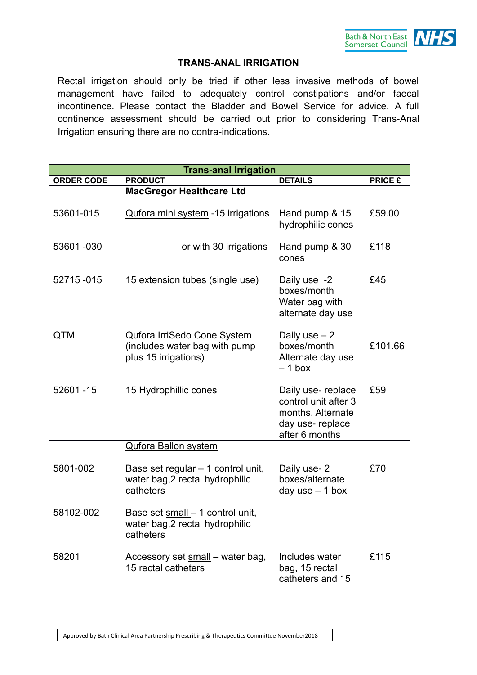

#### **TRANS-ANAL IRRIGATION**

Rectal irrigation should only be tried if other less invasive methods of bowel management have failed to adequately control constipations and/or faecal incontinence. Please contact the Bladder and Bowel Service for advice. A full continence assessment should be carried out prior to considering Trans-Anal Irrigation ensuring there are no contra-indications.

| <b>Trans-anal Irrigation</b> |                                                                                             |                                                                                                     |                |  |  |
|------------------------------|---------------------------------------------------------------------------------------------|-----------------------------------------------------------------------------------------------------|----------------|--|--|
| <b>ORDER CODE</b>            | <b>PRODUCT</b>                                                                              | <b>DETAILS</b>                                                                                      | <b>PRICE £</b> |  |  |
|                              | <b>MacGregor Healthcare Ltd</b>                                                             |                                                                                                     |                |  |  |
| 53601-015                    | Qufora mini system -15 irrigations                                                          | Hand pump & 15<br>hydrophilic cones                                                                 | £59.00         |  |  |
| 53601-030                    | or with 30 irrigations                                                                      | Hand pump & 30<br>cones                                                                             | £118           |  |  |
| 52715 - 015                  | 15 extension tubes (single use)                                                             | Daily use -2<br>boxes/month<br>Water bag with<br>alternate day use                                  | £45            |  |  |
| <b>QTM</b>                   | <b>Qufora IrriSedo Cone System</b><br>(includes water bag with pump<br>plus 15 irrigations) | Daily use $-2$<br>boxes/month<br>Alternate day use<br>$-1$ box                                      | £101.66        |  |  |
| 52601 - 15                   | 15 Hydrophillic cones                                                                       | Daily use-replace<br>control unit after 3<br>months. Alternate<br>day use-replace<br>after 6 months | £59            |  |  |
|                              | <b>Qufora Ballon system</b>                                                                 |                                                                                                     |                |  |  |
| 5801-002                     | Base set regular $-1$ control unit,<br>water bag, 2 rectal hydrophilic<br>catheters         | Daily use-2<br>boxes/alternate<br>day use $-1$ box                                                  | £70            |  |  |
| 58102-002                    | Base set small - 1 control unit,<br>water bag, 2 rectal hydrophilic<br>catheters            |                                                                                                     |                |  |  |
| 58201                        | Accessory set small - water bag,<br>15 rectal catheters                                     | Includes water<br>bag, 15 rectal<br>catheters and 15                                                | £115           |  |  |

Approved by Bath Clinical Area Partnership Prescribing & Therapeutics Committee November2018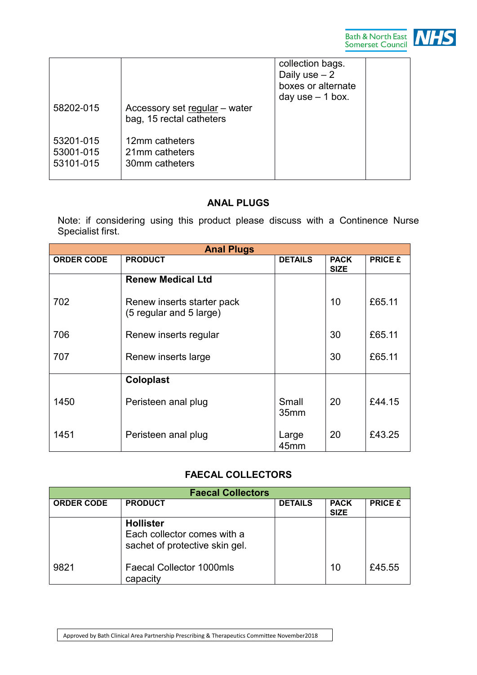



| 58202-015                           | Accessory set regular - water<br>bag, 15 rectal catheters | collection bags.<br>Daily use $-2$<br>boxes or alternate<br>day use $-1$ box. |  |
|-------------------------------------|-----------------------------------------------------------|-------------------------------------------------------------------------------|--|
| 53201-015<br>53001-015<br>53101-015 | 12mm catheters<br>21mm catheters<br>30mm catheters        |                                                                               |  |

# **ANAL PLUGS**

Note: if considering using this product please discuss with a Continence Nurse Specialist first.

|                   | <b>Anal Plugs</b>                                     |                |                            |                |
|-------------------|-------------------------------------------------------|----------------|----------------------------|----------------|
| <b>ORDER CODE</b> | <b>PRODUCT</b>                                        | <b>DETAILS</b> | <b>PACK</b><br><b>SIZE</b> | <b>PRICE £</b> |
|                   | <b>Renew Medical Ltd</b>                              |                |                            |                |
| 702               | Renew inserts starter pack<br>(5 regular and 5 large) |                | 10                         | £65.11         |
| 706               | Renew inserts regular                                 |                | 30                         | £65.11         |
| 707               | Renew inserts large                                   |                | 30                         | £65.11         |
|                   | <b>Coloplast</b>                                      |                |                            |                |
| 1450              | Peristeen anal plug                                   | Small<br>35mm  | 20                         | £44.15         |
| 1451              | Peristeen anal plug                                   | Large<br>45mm  | 20                         | £43.25         |

# **FAECAL COLLECTORS**

|                   | <b>Faecal Collectors</b>                                                          |                |                            |                |
|-------------------|-----------------------------------------------------------------------------------|----------------|----------------------------|----------------|
| <b>ORDER CODE</b> | <b>PRODUCT</b>                                                                    | <b>DETAILS</b> | <b>PACK</b><br><b>SIZE</b> | <b>PRICE £</b> |
|                   | <b>Hollister</b><br>Each collector comes with a<br>sachet of protective skin gel. |                |                            |                |
| 9821              | <b>Faecal Collector 1000mls</b><br>capacity                                       |                | 10                         | £45.55         |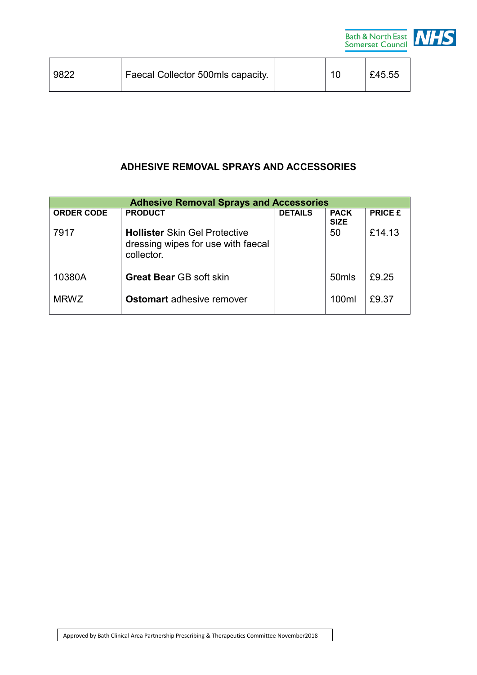

| 9822 | Faecal Collector 500mls capacity. |  | £45.55 |
|------|-----------------------------------|--|--------|
|      |                                   |  |        |

# **ADHESIVE REMOVAL SPRAYS AND ACCESSORIES**

| <b>Adhesive Removal Sprays and Accessories</b> |                                                                                          |                |                            |                |
|------------------------------------------------|------------------------------------------------------------------------------------------|----------------|----------------------------|----------------|
| <b>ORDER CODE</b>                              | <b>PRODUCT</b>                                                                           | <b>DETAILS</b> | <b>PACK</b><br><b>SIZE</b> | <b>PRICE £</b> |
| 7917                                           | <b>Hollister Skin Gel Protective</b><br>dressing wipes for use with faecal<br>collector. |                | 50                         | £14.13         |
| 10380A                                         | <b>Great Bear GB soft skin</b>                                                           |                | 50 <sub>mls</sub>          | £9.25          |
| <b>MRWZ</b>                                    | <b>Ostomart</b> adhesive remover                                                         |                | 100ml                      | £9.37          |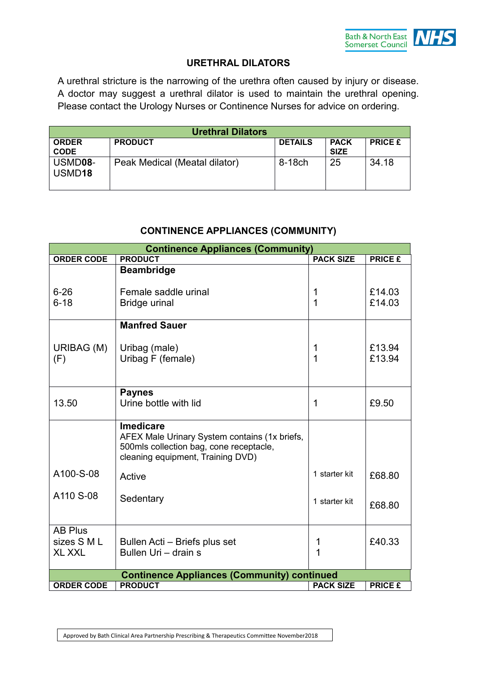

#### **URETHRAL DILATORS**

A urethral stricture is the narrowing of the urethra often caused by injury or disease. A doctor may suggest a urethral dilator is used to maintain the urethral opening. Please contact the Urology Nurses or Continence Nurses for advice on ordering.

| <b>Urethral Dilators</b>      |                               |                |                            |                |
|-------------------------------|-------------------------------|----------------|----------------------------|----------------|
| <b>ORDER</b><br><b>CODE</b>   | <b>PRODUCT</b>                | <b>DETAILS</b> | <b>PACK</b><br><b>SIZE</b> | <b>PRICE £</b> |
| USMD08-<br>USMD <sub>18</sub> | Peak Medical (Meatal dilator) | 8-18ch         | 25                         | 34.18          |

## **CONTINENCE APPLIANCES (COMMUNITY)**

|                   | <b>Continence Appliances (Community)</b>                                                                                                          |                  |                |
|-------------------|---------------------------------------------------------------------------------------------------------------------------------------------------|------------------|----------------|
| <b>ORDER CODE</b> | <b>PRODUCT</b>                                                                                                                                    | <b>PACK SIZE</b> | <b>PRICE £</b> |
|                   | <b>Beambridge</b>                                                                                                                                 |                  |                |
| $6 - 26$          | Female saddle urinal                                                                                                                              | 1                | £14.03         |
| $6 - 18$          | Bridge urinal                                                                                                                                     | 1                | £14.03         |
|                   | <b>Manfred Sauer</b>                                                                                                                              |                  |                |
| URIBAG (M)        | Uribag (male)                                                                                                                                     | 1                | £13.94         |
| (F)               | Uribag F (female)                                                                                                                                 | 1                | £13.94         |
|                   |                                                                                                                                                   |                  |                |
|                   | <b>Paynes</b>                                                                                                                                     |                  |                |
| 13.50             | Urine bottle with lid                                                                                                                             | 1                | £9.50          |
|                   | <b>Imedicare</b><br>AFEX Male Urinary System contains (1x briefs,<br>500mls collection bag, cone receptacle,<br>cleaning equipment, Training DVD) |                  |                |
| A100-S-08         | Active                                                                                                                                            | 1 starter kit    | £68.80         |
| A110 S-08         | Sedentary                                                                                                                                         | 1 starter kit    | £68.80         |
| <b>AB Plus</b>    |                                                                                                                                                   |                  |                |
| sizes S M L       | Bullen Acti – Briefs plus set<br>Bullen Uri - drain s                                                                                             | 1                | £40.33         |
| <b>XL XXL</b>     |                                                                                                                                                   | 1                |                |
|                   | <b>Continence Appliances (Community) continued</b>                                                                                                |                  |                |
| <b>ORDER CODE</b> | <b>PRODUCT</b>                                                                                                                                    | <b>PACK SIZE</b> | <b>PRICE £</b> |

Approved by Bath Clinical Area Partnership Prescribing & Therapeutics Committee November2018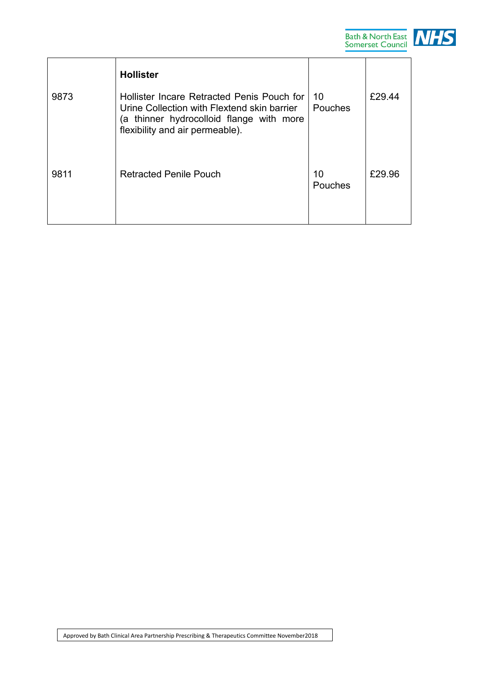

| 9873 | <b>Hollister</b><br>Hollister Incare Retracted Penis Pouch for<br>Urine Collection with Flextend skin barrier<br>(a thinner hydrocolloid flange with more<br>flexibility and air permeable). | 10<br>Pouches | £29.44 |
|------|----------------------------------------------------------------------------------------------------------------------------------------------------------------------------------------------|---------------|--------|
| 9811 | <b>Retracted Penile Pouch</b>                                                                                                                                                                | 10<br>Pouches | £29.96 |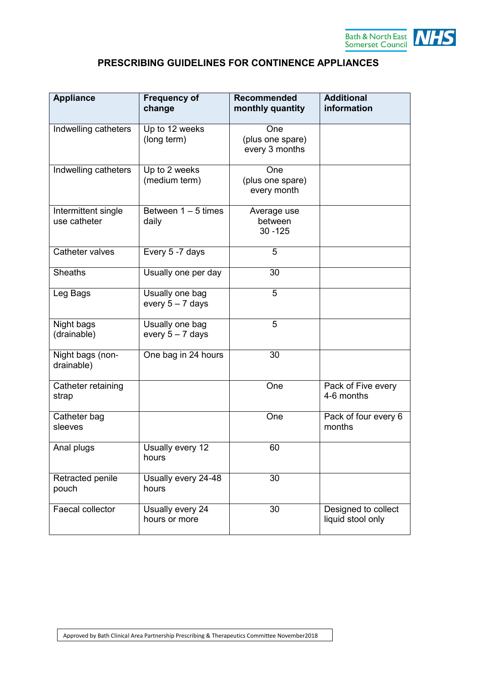

# **PRESCRIBING GUIDELINES FOR CONTINENCE APPLIANCES**

| <b>Appliance</b>                    | <b>Frequency of</b><br>change         | <b>Recommended</b><br>monthly quantity    | <b>Additional</b><br>information         |
|-------------------------------------|---------------------------------------|-------------------------------------------|------------------------------------------|
| Indwelling catheters                | Up to 12 weeks<br>(long term)         | One<br>(plus one spare)<br>every 3 months |                                          |
| Indwelling catheters                | Up to 2 weeks<br>(medium term)        | One<br>(plus one spare)<br>every month    |                                          |
| Intermittent single<br>use catheter | Between $1 - 5$ times<br>daily        | Average use<br>between<br>$30 - 125$      |                                          |
| Catheter valves                     | Every 5 -7 days                       | 5                                         |                                          |
| <b>Sheaths</b>                      | Usually one per day                   | 30                                        |                                          |
| Leg Bags                            | Usually one bag<br>every $5 - 7$ days | 5                                         |                                          |
| Night bags<br>(drainable)           | Usually one bag<br>every $5 - 7$ days | 5                                         |                                          |
| Night bags (non-<br>drainable)      | One bag in 24 hours                   | 30                                        |                                          |
| Catheter retaining<br>strap         |                                       | One                                       | Pack of Five every<br>4-6 months         |
| Catheter bag<br>sleeves             |                                       | One                                       | Pack of four every 6<br>months           |
| Anal plugs                          | Usually every 12<br>hours             | 60                                        |                                          |
| Retracted penile<br>pouch           | Usually every 24-48<br>hours          | 30                                        |                                          |
| Faecal collector                    | Usually every 24<br>hours or more     | 30                                        | Designed to collect<br>liquid stool only |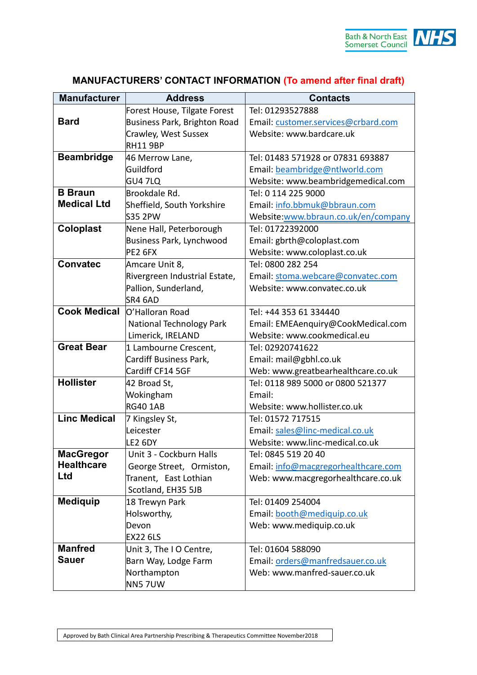

| <b>Manufacturer</b> | <b>Address</b>                  | <b>Contacts</b>                     |
|---------------------|---------------------------------|-------------------------------------|
|                     | Forest House, Tilgate Forest    | Tel: 01293527888                    |
| <b>Bard</b>         | Business Park, Brighton Road    | Email: customer.services@crbard.com |
|                     | Crawley, West Sussex            | Website: www.bardcare.uk            |
|                     | <b>RH11 9BP</b>                 |                                     |
| <b>Beambridge</b>   | 46 Merrow Lane,                 | Tel: 01483 571928 or 07831 693887   |
|                     | Guildford                       | Email: beambridge@ntlworld.com      |
|                     | GU4 7LQ                         | Website: www.beambridgemedical.com  |
| <b>B</b> Braun      | Brookdale Rd.                   | Tel: 0 114 225 9000                 |
| <b>Medical Ltd</b>  | Sheffield, South Yorkshire      | Email: info.bbmuk@bbraun.com        |
|                     | S35 2PW                         | Website:www.bbraun.co.uk/en/company |
| <b>Coloplast</b>    | Nene Hall, Peterborough         | Tel: 01722392000                    |
|                     | Business Park, Lynchwood        | Email: gbrth@coloplast.com          |
|                     | PE2 6FX                         | Website: www.coloplast.co.uk        |
| <b>Convatec</b>     | Amcare Unit 8,                  | Tel: 0800 282 254                   |
|                     | Rivergreen Industrial Estate,   | Email: stoma.webcare@convatec.com   |
|                     | Pallion, Sunderland,            | Website: www.convatec.co.uk         |
|                     | SR4 6AD                         |                                     |
| <b>Cook Medical</b> | O'Halloran Road                 | Tel: +44 353 61 334440              |
|                     | <b>National Technology Park</b> | Email: EMEAenquiry@CookMedical.com  |
|                     | Limerick, IRELAND               | Website: www.cookmedical.eu         |
| <b>Great Bear</b>   | 1 Lambourne Crescent,           | Tel: 02920741622                    |
|                     | Cardiff Business Park,          | Email: mail@gbhl.co.uk              |
|                     | Cardiff CF14 5GF                | Web: www.greatbearhealthcare.co.uk  |
| <b>Hollister</b>    | 42 Broad St,                    | Tel: 0118 989 5000 or 0800 521377   |
|                     | Wokingham                       | Email:                              |
|                     | <b>RG40 1AB</b>                 | Website: www.hollister.co.uk        |
| <b>Linc Medical</b> | 7 Kingsley St,                  | Tel: 01572 717515                   |
|                     | Leicester                       | Email: sales@linc-medical.co.uk     |
|                     | LE2 6DY                         | Website: www.linc-medical.co.uk     |
| <b>MacGregor</b>    | Unit 3 - Cockburn Halls         | Tel: 0845 519 20 40                 |
| <b>Healthcare</b>   | George Street, Ormiston,        | Email: info@macgregorhealthcare.com |
| Ltd                 | Tranent, East Lothian           | Web: www.macgregorhealthcare.co.uk  |
|                     | Scotland, EH35 5JB              |                                     |
| <b>Mediquip</b>     | 18 Trewyn Park                  | Tel: 01409 254004                   |
|                     | Holsworthy,                     | Email: booth@mediquip.co.uk         |
|                     | Devon                           | Web: www.mediquip.co.uk             |
|                     | <b>EX22 6LS</b>                 |                                     |
| <b>Manfred</b>      | Unit 3, The I O Centre,         | Tel: 01604 588090                   |
| <b>Sauer</b>        | Barn Way, Lodge Farm            | Email: orders@manfredsauer.co.uk    |
|                     | Northampton                     | Web: www.manfred-sauer.co.uk        |
|                     | NN57UW                          |                                     |

# **MANUFACTURERS' CONTACT INFORMATION (To amend after final draft)**